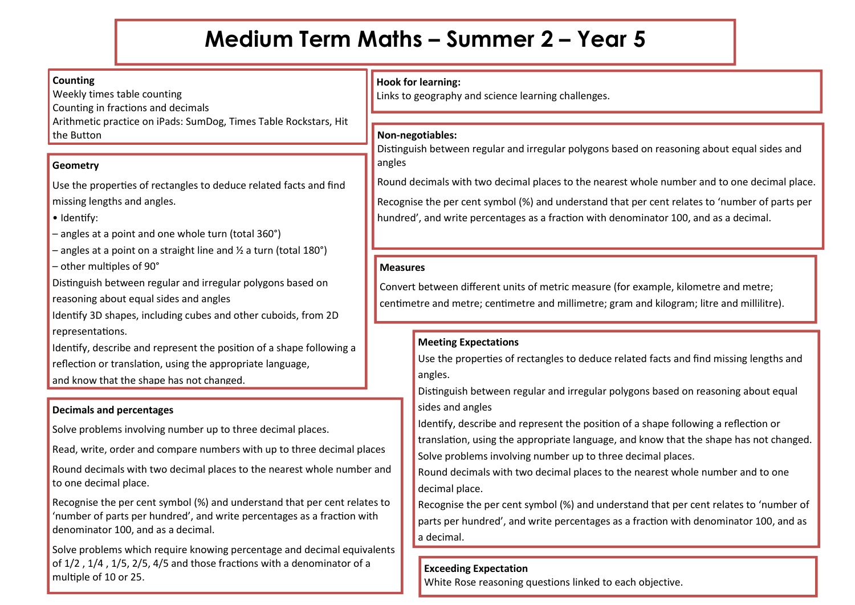# **Medium Term Maths – Summer 2 – Year 5**

#### **Counting**

Weekly times table counting Counting in fractions and decimals Arithmetic practice on iPads: SumDog, Times Table Rockstars, Hit the Button

#### **Geometry**

Use the properties of rectangles to deduce related facts and find missing lengths and angles.

- Identify:
- angles at a point and one whole turn (total 360°)
- $-$  angles at a point on a straight line and  $\frac{1}{2}$  a turn (total 180°)
- other multiples of 90°

Distinguish between regular and irregular polygons based on reasoning about equal sides and angles

Identify 3D shapes, including cubes and other cuboids, from 2D representations.

Identify, describe and represent the position of a shape following a reflection or translation, using the appropriate language,

and know that the shape has not changed.

#### **Decimals and percentages**

Solve problems involving number up to three decimal places.

Read, write, order and compare numbers with up to three decimal places

Round decimals with two decimal places to the nearest whole number and to one decimal place.

Recognise the per cent symbol (%) and understand that per cent relates to 'number of parts per hundred', and write percentages as a fraction with denominator 100, and as a decimal.

Solve problems which require knowing percentage and decimal equivalents of 1/2 , 1/4 , 1/5, 2/5, 4/5 and those fractions with a denominator of a multiple of 10 or 25.

# **Hook for learning:**

Links to geography and science learning challenges.

# **Non-negotiables:**

Distinguish between regular and irregular polygons based on reasoning about equal sides and angles

Round decimals with two decimal places to the nearest whole number and to one decimal place. Recognise the per cent symbol (%) and understand that per cent relates to 'number of parts per

# **Measures**

Convert between different units of metric measure (for example, kilometre and metre; centimetre and metre; centimetre and millimetre; gram and kilogram; litre and millilitre).

hundred', and write percentages as a fraction with denominator 100, and as a decimal.

#### **Meeting Expectations**

Use the properties of rectangles to deduce related facts and find missing lengths and angles.

Distinguish between regular and irregular polygons based on reasoning about equal sides and angles

Identify, describe and represent the position of a shape following a reflection or translation, using the appropriate language, and know that the shape has not changed. Solve problems involving number up to three decimal places.

Round decimals with two decimal places to the nearest whole number and to one decimal place.

Recognise the per cent symbol (%) and understand that per cent relates to 'number of parts per hundred', and write percentages as a fraction with denominator 100, and as a decimal.

# **Exceeding Expectation**

White Rose reasoning questions linked to each objective.